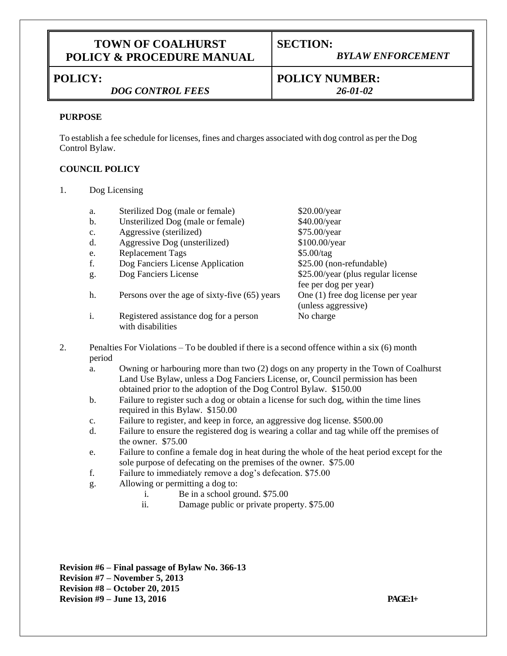## **TOWN OF COALHURST POLICY & PROCEDURE MANUAL**

# **SECTION:**

# **POLICY:**

## *DOG CONTROL FEES*

## *BYLAW ENFORCEMENT*

**POLICY NUMBER:** *26-01-02*

### **PURPOSE**

To establish a fee schedule for licenses, fines and charges associated with dog control as per the Dog Control Bylaw.

### **COUNCIL POLICY**

1. Dog Licensing

| a. | Sterilized Dog (male or female)                             | $$20.00$ /year                                               |
|----|-------------------------------------------------------------|--------------------------------------------------------------|
| b. | Unsterilized Dog (male or female)                           | \$40.00/year                                                 |
| c. | Aggressive (sterilized)                                     | \$75.00/year                                                 |
| d. | Aggressive Dog (unsterilized)                               | \$100.00/year                                                |
| e. | <b>Replacement Tags</b>                                     | \$5.00/tag                                                   |
| f. | Dog Fanciers License Application                            | \$25.00 (non-refundable)                                     |
| g. | Dog Fanciers License                                        | \$25.00/year (plus regular license)<br>fee per dog per year) |
| h. | Persons over the age of sixty-five (65) years               | One (1) free dog license per year<br>(unless aggressive)     |
|    | Registered assistance dog for a person<br>with disabilities | No charge                                                    |

- 2. Penalties For Violations To be doubled if there is a second offence within a six (6) month period
	- a. Owning or harbouring more than two (2) dogs on any property in the Town of Coalhurst Land Use Bylaw, unless a Dog Fanciers License, or, Council permission has been obtained prior to the adoption of the Dog Control Bylaw. \$150.00
	- b. Failure to register such a dog or obtain a license for such dog, within the time lines required in this Bylaw. \$150.00
	- c. Failure to register, and keep in force, an aggressive dog license. \$500.00
	- d. Failure to ensure the registered dog is wearing a collar and tag while off the premises of the owner. \$75.00
	- e. Failure to confine a female dog in heat during the whole of the heat period except for the sole purpose of defecating on the premises of the owner. \$75.00
	- f. Failure to immediately remove a dog's defecation. \$75.00
	- g. Allowing or permitting a dog to:
		- i. Be in a school ground. \$75.00
		- ii. Damage public or private property. \$75.00

**Revision #6 – Final passage of Bylaw No. 366-13 Revision #7 – November 5, 2013 Revision #8 – October 20, 2015 Revision #9 – June 13, 2016 PAGE:1+**